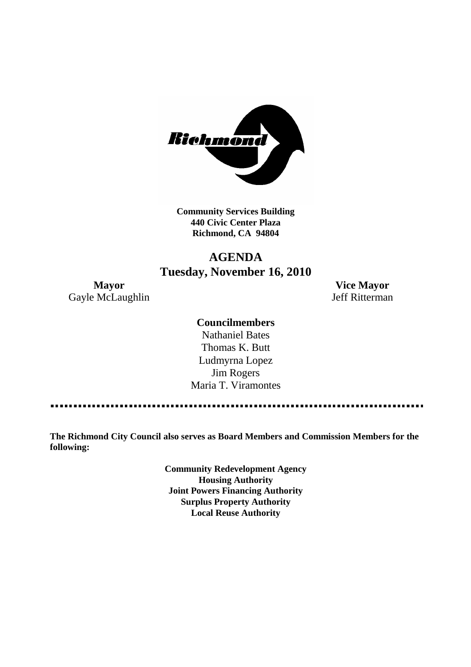

**Community Services Building 440 Civic Center Plaza Richmond, CA 94804**

# **AGENDA Tuesday, November 16, 2010**

**Mayor Vice Mayor** Gayle McLaughlin Jeff Ritterman

# **Councilmembers**

Nathaniel Bates Thomas K. Butt Ludmyrna Lopez Jim Rogers Maria T. Viramontes

**The Richmond City Council also serves as Board Members and Commission Members for the following:**

> **Community Redevelopment Agency Housing Authority Joint Powers Financing Authority Surplus Property Authority Local Reuse Authority**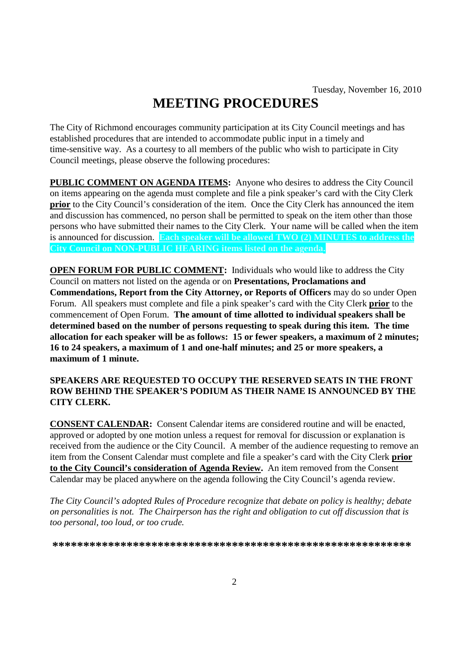# **MEETING PROCEDURES**

The City of Richmond encourages community participation at its City Council meetings and has established procedures that are intended to accommodate public input in a timely and time-sensitive way. As a courtesy to all members of the public who wish to participate in City Council meetings, please observe the following procedures:

**PUBLIC COMMENT ON AGENDA ITEMS:** Anyone who desires to address the City Council on items appearing on the agenda must complete and file a pink speaker's card with the City Clerk **prior** to the City Council's consideration of the item. Once the City Clerk has announced the item and discussion has commenced, no person shall be permitted to speak on the item other than those persons who have submitted their names to the City Clerk. Your name will be called when the item is announced for discussion. **Each speaker will be allowed TWO (2) MINUTES to address the City Council on NON-PUBLIC HEARING items listed on the agenda.**

**OPEN FORUM FOR PUBLIC COMMENT:** Individuals who would like to address the City Council on matters not listed on the agenda or on **Presentations, Proclamations and Commendations, Report from the City Attorney, or Reports of Officers** may do so under Open Forum. All speakers must complete and file a pink speaker's card with the City Clerk **prior** to the commencement of Open Forum. **The amount of time allotted to individual speakers shall be determined based on the number of persons requesting to speak during this item. The time allocation for each speaker will be as follows: 15 or fewer speakers, a maximum of 2 minutes; 16 to 24 speakers, a maximum of 1 and one-half minutes; and 25 or more speakers, a maximum of 1 minute.**

# **SPEAKERS ARE REQUESTED TO OCCUPY THE RESERVED SEATS IN THE FRONT ROW BEHIND THE SPEAKER'S PODIUM AS THEIR NAME IS ANNOUNCED BY THE CITY CLERK.**

**CONSENT CALENDAR:** Consent Calendar items are considered routine and will be enacted, approved or adopted by one motion unless a request for removal for discussion or explanation is received from the audience or the City Council. A member of the audience requesting to remove an item from the Consent Calendar must complete and file a speaker's card with the City Clerk **prior to the City Council's consideration of Agenda Review.** An item removed from the Consent Calendar may be placed anywhere on the agenda following the City Council's agenda review.

*The City Council's adopted Rules of Procedure recognize that debate on policy is healthy; debate on personalities is not. The Chairperson has the right and obligation to cut off discussion that is too personal, too loud, or too crude.*

**\*\*\*\*\*\*\*\*\*\*\*\*\*\*\*\*\*\*\*\*\*\*\*\*\*\*\*\*\*\*\*\*\*\*\*\*\*\*\*\*\*\*\*\*\*\*\*\*\*\*\*\*\*\*\*\*\*\***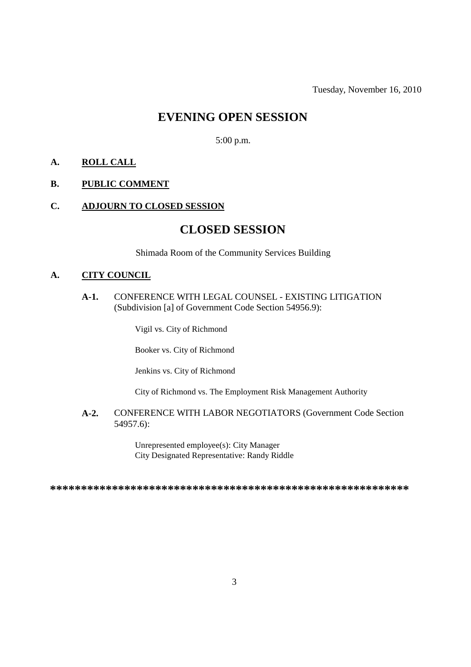Tuesday, November 16, 2010

# **EVENING OPEN SESSION**

5:00 p.m.

# **A. ROLL CALL**

# **B. PUBLIC COMMENT**

# **C. ADJOURN TO CLOSED SESSION**

# **CLOSED SESSION**

Shimada Room of the Community Services Building

# **A. CITY COUNCIL**

**A-1.** CONFERENCE WITH LEGAL COUNSEL - EXISTING LITIGATION (Subdivision [a] of Government Code Section 54956.9):

Vigil vs. City of Richmond

Booker vs. City of Richmond

Jenkins vs. City of Richmond

City of Richmond vs. The Employment Risk Management Authority

**A-2.** CONFERENCE WITH LABOR NEGOTIATORS (Government Code Section 54957.6):

> Unrepresented employee(s): City Manager City Designated Representative: Randy Riddle

**\*\*\*\*\*\*\*\*\*\*\*\*\*\*\*\*\*\*\*\*\*\*\*\*\*\*\*\*\*\*\*\*\*\*\*\*\*\*\*\*\*\*\*\*\*\*\*\*\*\*\*\*\*\*\*\*\*\***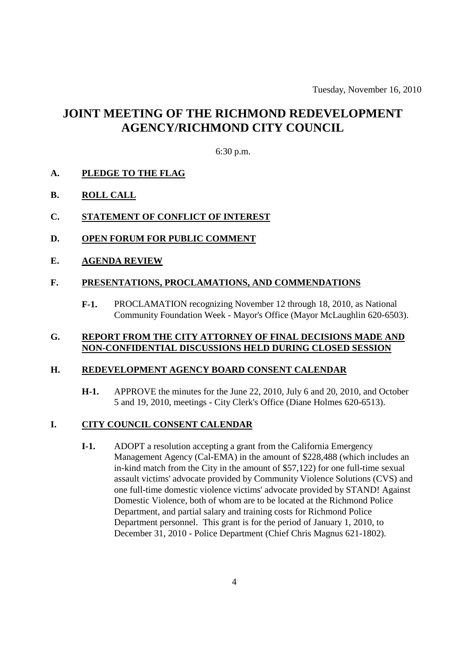# **JOINT MEETING OF THE RICHMOND REDEVELOPMENT AGENCY/RICHMOND CITY COUNCIL**

# 6:30 p.m.

#### **A. PLEDGE TO THE FLAG**

# **B. ROLL CALL**

# **C. STATEMENT OF CONFLICT OF INTEREST**

- **D. OPEN FORUM FOR PUBLIC COMMENT**
- **E. AGENDA REVIEW**

#### **F. PRESENTATIONS, PROCLAMATIONS, AND COMMENDATIONS**

**F-1.** PROCLAMATION recognizing November 12 through 18, 2010, as National Community Foundation Week - Mayor's Office (Mayor McLaughlin 620-6503).

# **G. REPORT FROM THE CITY ATTORNEY OF FINAL DECISIONS MADE AND NON-CONFIDENTIAL DISCUSSIONS HELD DURING CLOSED SESSION**

#### **H. REDEVELOPMENT AGENCY BOARD CONSENT CALENDAR**

**H-1.** APPROVE the minutes for the June 22, 2010, July 6 and 20, 2010, and October 5 and 19, 2010, meetings - City Clerk's Office (Diane Holmes 620-6513).

#### **I. CITY COUNCIL CONSENT CALENDAR**

**I-1.** ADOPT a resolution accepting a grant from the California Emergency Management Agency (Cal-EMA) in the amount of \$228,488 (which includes an in-kind match from the City in the amount of \$57,122) for one full-time sexual assault victims' advocate provided by Community Violence Solutions (CVS) and one full-time domestic violence victims' advocate provided by STAND! Against Domestic Violence, both of whom are to be located at the Richmond Police Department, and partial salary and training costs for Richmond Police Department personnel. This grant is for the period of January 1, 2010, to December 31, 2010 - Police Department (Chief Chris Magnus 621-1802).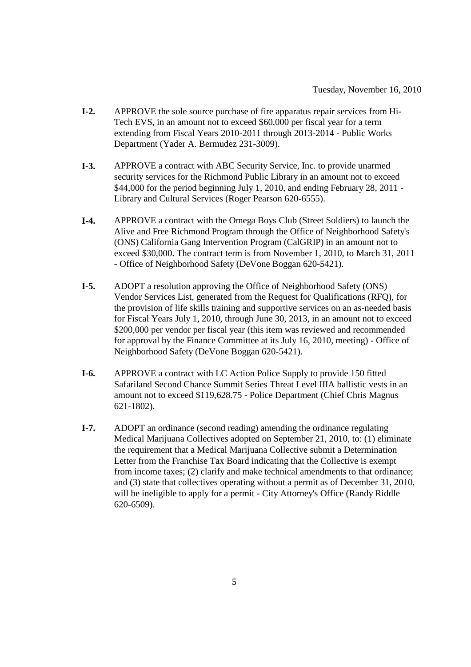- **I-2.** APPROVE the sole source purchase of fire apparatus repair services from Hi-Tech EVS, in an amount not to exceed \$60,000 per fiscal year for a term extending from Fiscal Years 2010-2011 through 2013-2014 - Public Works Department (Yader A. Bermudez 231-3009).
- **I-3.** APPROVE a contract with ABC Security Service, Inc. to provide unarmed security services for the Richmond Public Library in an amount not to exceed \$44,000 for the period beginning July 1, 2010, and ending February 28, 2011 -Library and Cultural Services (Roger Pearson 620-6555).
- **I-4.** APPROVE a contract with the Omega Boys Club (Street Soldiers) to launch the Alive and Free Richmond Program through the Office of Neighborhood Safety's (ONS) California Gang Intervention Program (CalGRIP) in an amount not to exceed \$30,000. The contract term is from November 1, 2010, to March 31, 2011 - Office of Neighborhood Safety (DeVone Boggan 620-5421).
- **I-5.** ADOPT a resolution approving the Office of Neighborhood Safety (ONS) Vendor Services List, generated from the Request for Qualifications (RFQ), for the provision of life skills training and supportive services on an as-needed basis for Fiscal Years July 1, 2010, through June 30, 2013, in an amount not to exceed \$200,000 per vendor per fiscal year (this item was reviewed and recommended for approval by the Finance Committee at its July 16, 2010, meeting) - Office of Neighborhood Safety (DeVone Boggan 620-5421).
- **I-6.** APPROVE a contract with LC Action Police Supply to provide 150 fitted Safariland Second Chance Summit Series Threat Level IIIA ballistic vests in an amount not to exceed \$119,628.75 - Police Department (Chief Chris Magnus 621-1802).
- **I-7.** ADOPT an ordinance (second reading) amending the ordinance regulating Medical Marijuana Collectives adopted on September 21, 2010, to: (1) eliminate the requirement that a Medical Marijuana Collective submit a Determination Letter from the Franchise Tax Board indicating that the Collective is exempt from income taxes; (2) clarify and make technical amendments to that ordinance; and (3) state that collectives operating without a permit as of December 31, 2010, will be ineligible to apply for a permit - City Attorney's Office (Randy Riddle) 620-6509).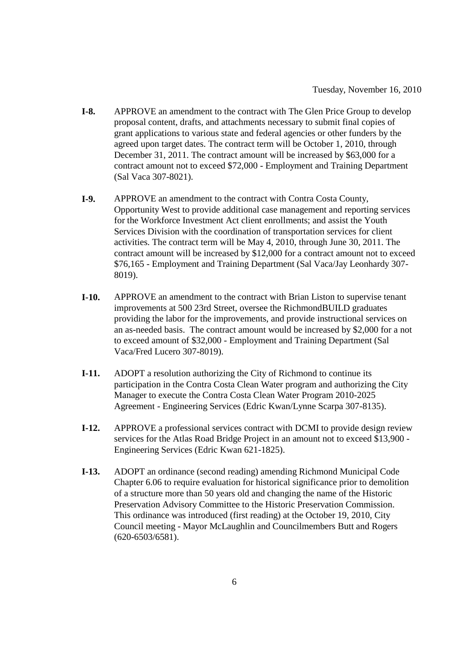- **I-8.** APPROVE an amendment to the contract with The Glen Price Group to develop proposal content, drafts, and attachments necessary to submit final copies of grant applications to various state and federal agencies or other funders by the agreed upon target dates. The contract term will be October 1, 2010, through December 31, 2011. The contract amount will be increased by \$63,000 for a contract amount not to exceed \$72,000 - Employment and Training Department (Sal Vaca 307-8021).
- **I-9.** APPROVE an amendment to the contract with Contra Costa County, Opportunity West to provide additional case management and reporting services for the Workforce Investment Act client enrollments; and assist the Youth Services Division with the coordination of transportation services for client activities. The contract term will be May 4, 2010, through June 30, 2011. The contract amount will be increased by \$12,000 for a contract amount not to exceed \$76,165 - Employment and Training Department (Sal Vaca/Jay Leonhardy 307- 8019).
- **I-10.** APPROVE an amendment to the contract with Brian Liston to supervise tenant improvements at 500 23rd Street, oversee the RichmondBUILD graduates providing the labor for the improvements, and provide instructional services on an as-needed basis. The contract amount would be increased by \$2,000 for a not to exceed amount of \$32,000 - Employment and Training Department (Sal Vaca/Fred Lucero 307-8019).
- **I-11.** ADOPT a resolution authorizing the City of Richmond to continue its participation in the Contra Costa Clean Water program and authorizing the City Manager to execute the Contra Costa Clean Water Program 2010-2025 Agreement - Engineering Services (Edric Kwan/Lynne Scarpa 307-8135).
- **I-12.** APPROVE a professional services contract with DCMI to provide design review services for the Atlas Road Bridge Project in an amount not to exceed \$13,900 - Engineering Services (Edric Kwan 621-1825).
- **I-13.** ADOPT an ordinance (second reading) amending Richmond Municipal Code Chapter 6.06 to require evaluation for historical significance prior to demolition of a structure more than 50 years old and changing the name of the Historic Preservation Advisory Committee to the Historic Preservation Commission. This ordinance was introduced (first reading) at the October 19, 2010, City Council meeting - Mayor McLaughlin and Councilmembers Butt and Rogers (620-6503/6581).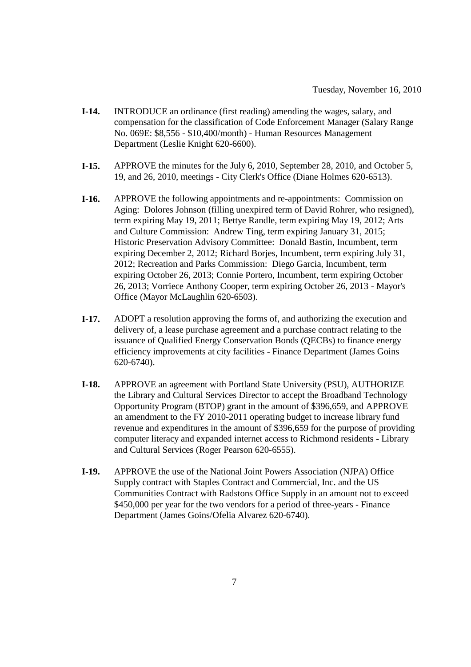- **I-14.** INTRODUCE an ordinance (first reading) amending the wages, salary, and compensation for the classification of Code Enforcement Manager (Salary Range No. 069E: \$8,556 - \$10,400/month) - Human Resources Management Department (Leslie Knight 620-6600).
- **I-15.** APPROVE the minutes for the July 6, 2010, September 28, 2010, and October 5, 19, and 26, 2010, meetings - City Clerk's Office (Diane Holmes 620-6513).
- **I-16.** APPROVE the following appointments and re-appointments: Commission on Aging: Dolores Johnson (filling unexpired term of David Rohrer, who resigned), term expiring May 19, 2011; Bettye Randle, term expiring May 19, 2012; Arts and Culture Commission: Andrew Ting, term expiring January 31, 2015; Historic Preservation Advisory Committee: Donald Bastin, Incumbent, term expiring December 2, 2012; Richard Borjes, Incumbent, term expiring July 31, 2012; Recreation and Parks Commission: Diego Garcia, Incumbent, term expiring October 26, 2013; Connie Portero, Incumbent, term expiring October 26, 2013; Vorriece Anthony Cooper, term expiring October 26, 2013 - Mayor's Office (Mayor McLaughlin 620-6503).
- **I-17.** ADOPT a resolution approving the forms of, and authorizing the execution and delivery of, a lease purchase agreement and a purchase contract relating to the issuance of Qualified Energy Conservation Bonds (QECBs) to finance energy efficiency improvements at city facilities - Finance Department (James Goins 620-6740).
- **I-18.** APPROVE an agreement with Portland State University (PSU), AUTHORIZE the Library and Cultural Services Director to accept the Broadband Technology Opportunity Program (BTOP) grant in the amount of \$396,659, and APPROVE an amendment to the FY 2010-2011 operating budget to increase library fund revenue and expenditures in the amount of \$396,659 for the purpose of providing computer literacy and expanded internet access to Richmond residents - Library and Cultural Services (Roger Pearson 620-6555).
- **I-19.** APPROVE the use of the National Joint Powers Association (NJPA) Office Supply contract with Staples Contract and Commercial, Inc. and the US Communities Contract with Radstons Office Supply in an amount not to exceed \$450,000 per year for the two vendors for a period of three-years - Finance Department (James Goins/Ofelia Alvarez 620-6740).